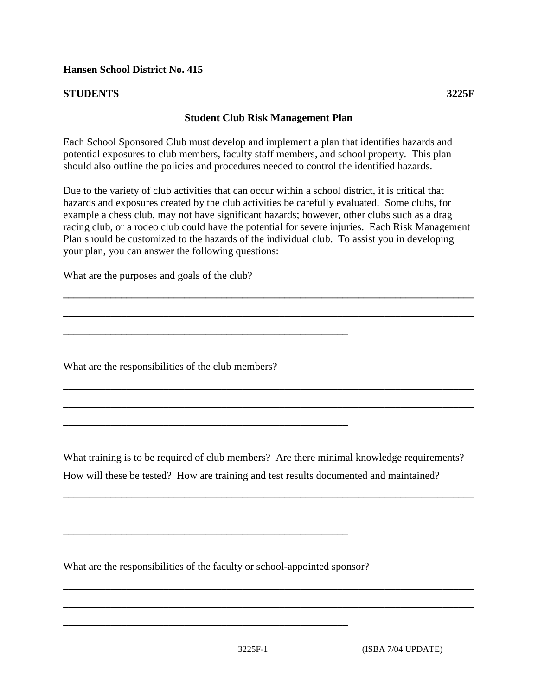## **STUDENTS 3225F**

## **Student Club Risk Management Plan**

Each School Sponsored Club must develop and implement a plan that identifies hazards and potential exposures to club members, faculty staff members, and school property. This plan should also outline the policies and procedures needed to control the identified hazards.

Due to the variety of club activities that can occur within a school district, it is critical that hazards and exposures created by the club activities be carefully evaluated. Some clubs, for example a chess club, may not have significant hazards; however, other clubs such as a drag racing club, or a rodeo club could have the potential for severe injuries. Each Risk Management Plan should be customized to the hazards of the individual club. To assist you in developing your plan, you can answer the following questions:

**\_\_\_\_\_\_\_\_\_\_\_\_\_\_\_\_\_\_\_\_\_\_\_\_\_\_\_\_\_\_\_\_\_\_\_\_\_\_\_\_\_\_\_\_\_\_\_\_\_\_\_\_\_\_\_\_\_\_\_\_\_\_\_\_\_\_\_\_\_\_\_\_\_\_\_\_\_\_**

**\_\_\_\_\_\_\_\_\_\_\_\_\_\_\_\_\_\_\_\_\_\_\_\_\_\_\_\_\_\_\_\_\_\_\_\_\_\_\_\_\_\_\_\_\_\_\_\_\_\_\_\_\_\_\_\_\_\_\_\_\_\_\_\_\_\_\_\_\_\_\_\_\_\_\_\_\_\_**

**\_\_\_\_\_\_\_\_\_\_\_\_\_\_\_\_\_\_\_\_\_\_\_\_\_\_\_\_\_\_\_\_\_\_\_\_\_\_\_\_\_\_\_\_\_\_\_\_\_\_\_\_\_\_\_\_\_\_\_\_\_\_\_\_\_\_\_\_\_\_\_\_\_\_\_\_\_\_**

**\_\_\_\_\_\_\_\_\_\_\_\_\_\_\_\_\_\_\_\_\_\_\_\_\_\_\_\_\_\_\_\_\_\_\_\_\_\_\_\_\_\_\_\_\_\_\_\_\_\_\_\_\_\_\_\_\_\_\_\_\_\_\_\_\_\_\_\_\_\_\_\_\_\_\_\_\_\_**

What are the purposes and goals of the club?

What are the responsibilities of the club members?

**\_\_\_\_\_\_\_\_\_\_\_\_\_\_\_\_\_\_\_\_\_\_\_\_\_\_\_\_\_\_\_\_\_\_\_\_\_\_\_\_\_\_\_\_\_\_\_\_\_\_\_\_\_\_** 

**\_\_\_\_\_\_\_\_\_\_\_\_\_\_\_\_\_\_\_\_\_\_\_\_\_\_\_\_\_\_\_\_\_\_\_\_\_\_\_\_\_\_\_\_\_\_\_\_\_\_\_\_\_\_** 

What training is to be required of club members? Are there minimal knowledge requirements? How will these be tested? How are training and test results documented and maintained?

*\_\_\_\_\_\_\_\_\_\_\_\_\_\_\_\_\_\_\_\_\_\_\_\_\_\_\_\_\_\_\_\_\_\_\_\_\_\_\_\_\_\_\_\_\_\_\_\_\_\_\_\_\_\_\_\_\_\_\_\_\_\_\_\_\_\_\_\_\_\_\_\_\_\_\_\_\_\_*

*\_\_\_\_\_\_\_\_\_\_\_\_\_\_\_\_\_\_\_\_\_\_\_\_\_\_\_\_\_\_\_\_\_\_\_\_\_\_\_\_\_\_\_\_\_\_\_\_\_\_\_\_\_\_\_\_\_\_\_\_\_\_\_\_\_\_\_\_\_\_\_\_\_\_\_\_\_\_*

**\_\_\_\_\_\_\_\_\_\_\_\_\_\_\_\_\_\_\_\_\_\_\_\_\_\_\_\_\_\_\_\_\_\_\_\_\_\_\_\_\_\_\_\_\_\_\_\_\_\_\_\_\_\_\_\_\_\_\_\_\_\_\_\_\_\_\_\_\_\_\_\_\_\_\_\_\_\_**

**\_\_\_\_\_\_\_\_\_\_\_\_\_\_\_\_\_\_\_\_\_\_\_\_\_\_\_\_\_\_\_\_\_\_\_\_\_\_\_\_\_\_\_\_\_\_\_\_\_\_\_\_\_\_\_\_\_\_\_\_\_\_\_\_\_\_\_\_\_\_\_\_\_\_\_\_\_\_**

What are the responsibilities of the faculty or school-appointed sponsor?

*\_\_\_\_\_\_\_\_\_\_\_\_\_\_\_\_\_\_\_\_\_\_\_\_\_\_\_\_\_\_\_\_\_\_\_\_\_\_\_\_\_\_\_\_\_\_\_\_\_\_\_\_\_\_* 

**\_\_\_\_\_\_\_\_\_\_\_\_\_\_\_\_\_\_\_\_\_\_\_\_\_\_\_\_\_\_\_\_\_\_\_\_\_\_\_\_\_\_\_\_\_\_\_\_\_\_\_\_\_\_**